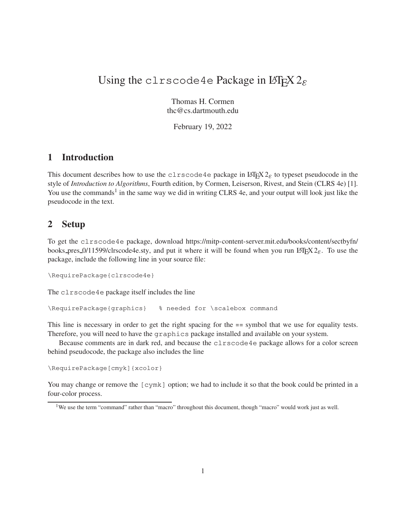# Using the clrscode4e Package in LAT<sub>E</sub>X  $2\varepsilon$

Thomas H. Cormen thc@cs.dartmouth.edu

February 19, 2022

# **1 Introduction**

This document describes how to use the clrscode4e package in  $\mathbb{E} \mathbb{E} \times \mathbb{E} \times \mathbb{E}$  to typeset pseudocode in the style of *Introduction to Algorithms*, Fourth edition, by Cormen, Leiserson, Rivest, and Stein (CLRS 4e) [1]. You use the commands<sup>1</sup> in the same way we did in writing CLRS 4e, and your output will look just like the pseudocode in the text.

# **2 Setup**

To get the clrscode4e package, download https://mitp-content-server.mit.edu/books/content/sectbyfn/ books pres 0/11599/clrscode4e.sty, and put it where it will be found when you run LATEX  $2\varepsilon$ . To use the package, include the following line in your source file:

\RequirePackage{clrscode4e}

The clrscode4e package itself includes the line

```
\RequirePackage{graphics} % needed for \scalebox command
```
This line is necessary in order to get the right spacing for the == symbol that we use for equality tests. Therefore, you will need to have the graphics package installed and available on your system.

Because comments are in dark red, and because the clrscode4e package allows for a color screen behind pseudocode, the package also includes the line

\RequirePackage[cmyk]{xcolor}

You may change or remove the [cymk] option; we had to include it so that the book could be printed in a four-color process.

<sup>&</sup>lt;sup>1</sup>We use the term "command" rather than "macro" throughout this document, though "macro" would work just as well.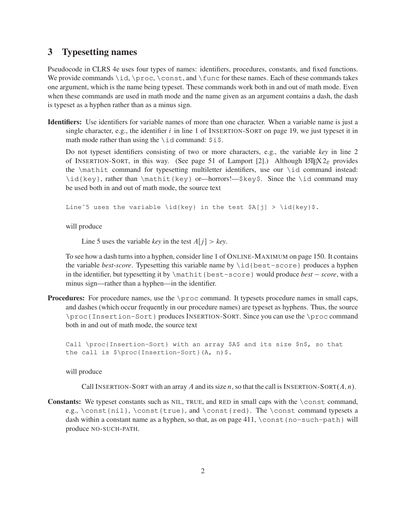### **3 Typesetting names**

Pseudocode in CLRS 4e uses four types of names: identifiers, procedures, constants, and fixed functions. We provide commands  $id, \propto, \const,$  and  $\times$  func for these names. Each of these commands takes one argument, which is the name being typeset. These commands work both in and out of math mode. Even when these commands are used in math mode and the name given as an argument contains a dash, the dash is typeset as a hyphen rather than as a minus sign.

**Identifiers:** Use identifiers for variable names of more than one character. When a variable name is just a single character, e.g., the identifier  $i$  in line 1 of INSERTION-SORT on page 19, we just typeset it in math mode rather than using the  $\id$  command:  $\xi$  is.

Do not typeset identifiers consisting of two or more characters, e.g., the variable *key* in line 2 of INSERTION-SORT, in this way. (See page 51 of Lamport [2].) Although LATEX  $2_{\mathcal{E}}$  provides the  $\mathcal{S}$  mathit command for typesetting multiletter identifiers, use our  $\id$  command instead: \id{key}, rather than \mathit{key} or—horrors!—\$key\$. Since the \id command may be used both in and out of math mode, the source text

Line~5 uses the variable \id{key} in the test  $$A[j] > \id{key}$ \$.

will produce

Line 5 uses the variable *key* in the test  $A[j] > \text{key}$ .

To see how a dash turns into a hyphen, consider line 1 of ONLINE-MAXIMUM on page 150. It contains the variable *best*-*score*. Typesetting this variable name by \id{best-score} produces a hyphen in the identifier, but typesetting it by  $\mathcal{L}$  best-score  $\mathcal{L}$  would produce *best-score*, with a minus sign—rather than a hyphen—in the identifier.

**Procedures:** For procedure names, use the \proc command. It typesets procedure names in small caps, and dashes (which occur frequently in our procedure names) are typeset as hyphens. Thus, the source \proc{Insertion-Sort} produces INSERTION-SORT. Since you can use the \proc command both in and out of math mode, the source text

Call \proc{Insertion-Sort} with an array \$A\$ and its size \$n\$, so that the call is  $\prod\{\text{Insertion-Sort}\}(A, n)\$ .

will produce

Call INSERTION-SORT with an array A and its size n, so that the call is INSERTION-SORT $(A, n)$ .

**Constants:** We typeset constants such as NIL, TRUE, and RED in small caps with the \const command, e.g.,  $\const{\n 1}, \const{\n 1}, \const{\n 1}, \and \const{\n 2}.$  The \const command typesets a dash within a constant name as a hyphen, so that, as on page  $411$ ,  $\const{\n0-{\rm such-path}}$  will produce NO-SUCH-PATH.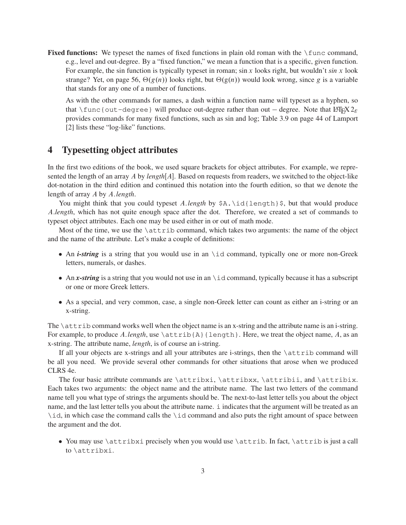**Fixed functions:** We typeset the names of fixed functions in plain old roman with the  $\frac{\text{t}}{\text{t}}$  func command, e.g., level and out-degree. By a "fixed function," we mean a function that is a specific, given function. For example, the sin function is typically typeset in roman; sin x looks right, but wouldn't *sin* x look strange? Yet, on page 56,  $\Theta(g(n))$  looks right, but  $\Theta(g(n))$  would look wrong, since g is a variable that stands for any one of a number of functions.

As with the other commands for names, a dash within a function name will typeset as a hyphen, so that  $\frac{\text{tunc}\cdot\text{out-degree}}{\text{will produce out-degree rather than out-degree}}$ . Note that  $\Delta E$ <sub>EX</sub> 2<sub> $\varepsilon$ </sub> provides commands for many fixed functions, such as sin and log; Table 3.9 on page 44 of Lamport [2] lists these "log-like" functions.

### **4 Typesetting object attributes**

In the first two editions of the book, we used square brackets for object attributes. For example, we represented the length of an array A by *length* $[A]$ . Based on requests from readers, we switched to the object-like dot-notation in the third edition and continued this notation into the fourth edition, so that we denote the length of array A by A:*length*.

You might think that you could typeset A.length by  $\alpha \$ . \id{length}\$, but that would produce A:*length*, which has not quite enough space after the dot. Therefore, we created a set of commands to typeset object attributes. Each one may be used either in or out of math mode.

Most of the time, we use the \attrib command, which takes two arguments: the name of the object and the name of the attribute. Let's make a couple of definitions:

- An *i-string* is a string that you would use in an \id command, typically one or more non-Greek letters, numerals, or dashes.
- An *x-string* is a string that you would not use in an \id command, typically because it has a subscript or one or more Greek letters.
- As a special, and very common, case, a single non-Greek letter can count as either an i-string or an x-string.

The \attrib command works well when the object name is an x-string and the attribute name is an i-string. For example, to produce A.*length*, use  $\text{attrib{A}}$ {length}. Here, we treat the object name, A, as an x-string. The attribute name, *length*, is of course an i-string.

If all your objects are x-strings and all your attributes are i-strings, then the \attrib command will be all you need. We provide several other commands for other situations that arose when we produced CLRS 4e.

The four basic attribute commands are  $\atop \text{box.} \atop$   $\atop \text{box.}$ Each takes two arguments: the object name and the attribute name. The last two letters of the command name tell you what type of strings the arguments should be. The next-to-last letter tells you about the object name, and the last letter tells you about the attribute name. i indicates that the argument will be treated as an \id, in which case the command calls the \id command and also puts the right amount of space between the argument and the dot.

 You may use \attribxi precisely when you would use \attrib. In fact, \attrib is just a call to \attribxi.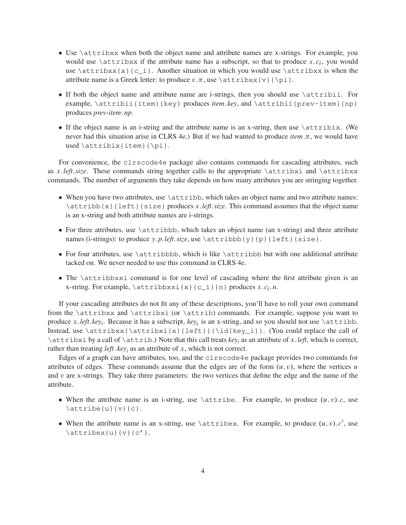- Use \attribxx when both the object name and attribute names are x-strings. For example, you would use  $\text{attribxx}$  if the attribute name has a subscript, so that to produce x.c<sub>i</sub>, you would use  $\text{x}(x)(c_i)$ . Another situation in which you would use  $\text{x}$  is when the attribute name is a Greek letter: to produce  $v.\pi$ , use  $\text{attribxx}\{v\}\{\pi\}.$
- If both the object name and attribute name are i-strings, then you should use \attribii. For example, \attribii{item}{key} produces *item*:*key*, and \attribii{prev-item}{np} produces *prev*-*item*:*np*.
- If the object name is an i-string and the attribute name is an x-string, then use \attribix. (We never had this situation arise in CLRS 4e.) But if we had wanted to produce *item*. $\pi$ , we would have used  $\text{itribix}$ {item}{ $\pi$ }.

For convenience, the clrscode4e package also contains commands for cascading attributes, such as x:*left*:*size*. These commands string together calls to the appropriate \attribxi and \attribxx commands. The number of arguments they take depends on how many attributes you are stringing together.

- When you have two attributes, use \attribb, which takes an object name and two attribute names: \attribb{x}{left}{size} produces x:*left*:*size*. This command assumes that the object name is an x-string and both attribute names are i-strings.
- For three attributes, use  $\text{attribbb},$  which takes an object name (an x-string) and three attribute names (i-strings): to produce y:*p*:*left*:*size*, use \attribbb{y}{p}{left}{size}.
- $\bullet$  For four attributes, use  $\atop \text{abbbb},$  which is like  $\atop \text{abbbb}$  but with one additional attribute tacked on. We never needed to use this command in CLRS 4e.
- The \attribbxxi command is for one level of cascading where the first attribute given is an x-string. For example, \attribbxxi{x}{c\_i}{n} produces x.c<sub>i</sub>.n.

If your cascading attributes do not fit any of these descriptions, you'll have to roll your own command from the \attribxx and \attribxi (or \attrib) commands. For example, suppose you want to produce x.*left.key*<sub>i</sub>. Because it has a subscript, *key*<sub>i</sub> is an x-string, and so you should not use \attribb. Instead, use  $\text{\x}({\text{x}}{\left\}; {\text{key}_i}\$ . (You could replace the call of \attribxi by a call of \attrib.) Note that this call treats *key<sup>i</sup>* as an attribute of x:*left*, which is correct, rather than treating *left*.  $key_i$  as an attribute of x, which is not correct.

Edges of a graph can have attributes, too, and the clrscode4e package provides two commands for attributes of edges. These commands assume that the edges are of the form  $(u, v)$ , where the vertices u and  $v$  are x-strings. They take three parameters: the two vertices that define the edge and the name of the attribute.

- When the attribute name is an i-string, use  $\text{cutright}$ . For example, to produce  $(u, v)$ .c, use \attribe{u}{v}{c}.
- When the attribute name is an x-string, use \attribex. For example, to produce  $(u, v)$ .c', use \attribex{u}{v}{c'}.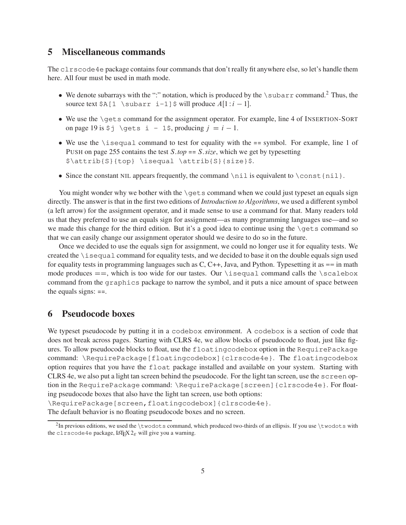# **5 Miscellaneous commands**

The clrscode4e package contains four commands that don't really fit anywhere else, so let's handle them here. All four must be used in math mode.

- $\bullet$  We denote subarrays with the ":" notation, which is produced by the \subarr command.<sup>2</sup> Thus, the source text  $A[1 \setminus subarr i-1]$  will produce  $A[1:i-1]$ .
- $\bullet$  We use the  $\q$ ets command for the assignment operator. For example, line 4 of INSERTION-SORT on page 19 is  $\frac{1}{9}$  \gets i - 1\$, producing  $i = i - 1$ .
- $\bullet$  We use the \isequal command to test for equality with the = = symbol. For example, line 1 of PUSH on page 255 contains the test S:*top* == S:*size*, which we get by typesetting \$\attrib{S}{top} \isequal \attrib{S}{size}\$.
- Since the constant NIL appears frequently, the command \nil is equivalent to \const{nil}.

You might wonder why we bother with the  $\qquad$  gets command when we could just typeset an equals sign directly. The answer is that in the first two editions of *Introduction to Algorithms*, we used a different symbol (a left arrow) for the assignment operator, and it made sense to use a command for that. Many readers told us that they preferred to use an equals sign for assignment—as many programming languages use—and so we made this change for the third edition. But it's a good idea to continue using the \qets command so that we can easily change our assignment operator should we desire to do so in the future.

Once we decided to use the equals sign for assignment, we could no longer use it for equality tests. We created the \isequal command for equality tests, and we decided to base it on the double equals sign used for equality tests in programming languages such as  $C, C++, Java$ , and Python. Typesetting it as  $==$  in math mode produces  $==$ , which is too wide for our tastes. Our \isequal command calls the \scalebox command from the graphics package to narrow the symbol, and it puts a nice amount of space between the equals signs: ==.

# **6 Pseudocode boxes**

We typeset pseudocode by putting it in a codebox environment. A codebox is a section of code that does not break across pages. Starting with CLRS 4e, we allow blocks of pseudocode to float, just like figures. To allow pseudocode blocks to float, use the floatingcodebox option in the RequirePackage command: \RequirePackage[floatingcodebox]{clrscode4e}. The floatingcodebox option requires that you have the float package installed and available on your system. Starting with CLRS 4e, we also put a light tan screen behind the pseudocode. For the light tan screen, use the screen option in the RequirePackage command: \RequirePackage[screen]{clrscode4e}. For floating pseudocode boxes that also have the light tan screen, use both options:

\RequirePackage[screen,floatingcodebox]{clrscode4e}. The default behavior is no floating pseudocode boxes and no screen.

 $^2$ In previous editions, we used the \twodots command, which produced two-thirds of an ellipsis. If you use \twodots with

the clrscode4e package, LAT<sub>E</sub>X 2 $_{\varepsilon}$  will give you a warning.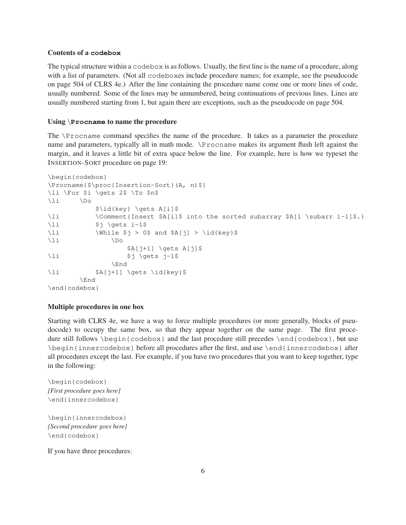### **Contents of a codebox**

The typical structure within a codebox is as follows. Usually, the first line is the name of a procedure, along with a list of parameters. (Not all codeboxes include procedure names; for example, see the pseudocode on page 504 of CLRS 4e.) After the line containing the procedure name come one or more lines of code, usually numbered. Some of the lines may be unnumbered, being continuations of previous lines. Lines are usually numbered starting from 1, but again there are exceptions, such as the pseudocode on page 504.

#### Using **Procname** to name the procedure

The \Procname command specifies the name of the procedure. It takes as a parameter the procedure name and parameters, typically all in math mode. \Procname makes its argument flush left against the margin, and it leaves a little bit of extra space below the line. For example, here is how we typeset the INSERTION-SORT procedure on page 19:

```
\begin{codebox}
\Procname{$\proc{Insertion-Sort}(A, n)$}
\li \For $i \gets 2$ \To $n$
\li \Do
          $\id{key} \gets A[i]$
\li \Comment{Insert $A[i]$ into the sorted subarray $A[1 \subarr i-1]$.}
\li $j \gets i-1$
\li \While \{j > 0$ and A[j] > \id{key}\li \Do
                 $A[j+1] \gets A[j]$
\li $j \gets j-1$
             \End
\li $A[j+1] \gets \id{key}$
      \End
\end{codebox}
```
#### **Multiple procedures in one box**

Starting with CLRS 4e, we have a way to force multiple procedures (or more generally, blocks of pseudocode) to occupy the same box, so that they appear together on the same page. The first procedure still follows \begin{codebox} and the last procedure still precedes \end{codebox}, but use  $\begin{bmatrix} \begin{array}{c} \begin{array}{c} \end{array} \end{bmatrix}$  before all procedures after the first, and use  $\end{bmatrix}$  and  $\begin{bmatrix} \begin{array}{c} \end{array}$  after all procedures except the last. For example, if you have two procedures that you want to keep together, type in the following:

```
\begin{codebox}
[First procedure goes here]
\end{innercodebox}
```
\begin{innercodebox} *[Second procedure goes here]* \end{codebox}

If you have three procedures: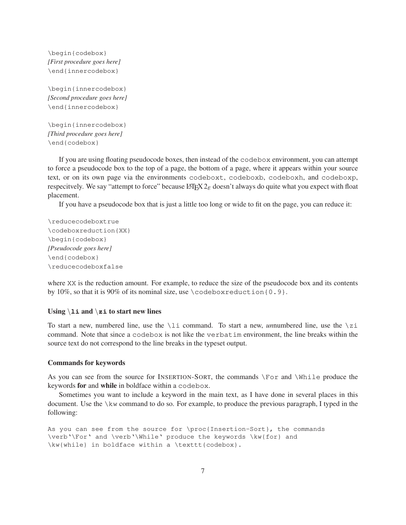```
\begin{codebox}
[First procedure goes here]
\end{innercodebox}
```
\begin{innercodebox} *[Second procedure goes here]* \end{innercodebox}

\begin{innercodebox} *[Third procedure goes here]* \end{codebox}

If you are using floating pseudocode boxes, then instead of the codebox environment, you can attempt to force a pseudocode box to the top of a page, the bottom of a page, where it appears within your source text, or on its own page via the environments codeboxt, codeboxb, codeboxh, and codeboxp, respecitvely. We say "attempt to force" because LATEX  $2<sub>\varepsilon</sub>$  doesn't always do quite what you expect with float placement.

If you have a pseudocode box that is just a little too long or wide to fit on the page, you can reduce it:

```
\reducecodeboxtrue
\codeboxreduction{XX}
\begin{codebox}
[Pseudocode goes here]
\end{codebox}
\reducecodeboxfalse
```
where XX is the reduction amount. For example, to reduce the size of the pseudocode box and its contents by 10%, so that it is 90% of its nominal size, use  $\codewereduction{0.9}.$ 

#### Using  $\iota$  **1i** and  $\iota$ **zi** to start new lines

To start a new, numbered line, use the  $\ln \ \tan A$ . To start a new, *un*numbered line, use the  $\zeta$ command. Note that since a codebox is not like the verbatim environment, the line breaks within the source text do not correspond to the line breaks in the typeset output.

#### **Commands for keywords**

As you can see from the source for INSERTION-SORT, the commands \For and \While produce the keywords **for** and **while** in boldface within a codebox.

Sometimes you want to include a keyword in the main text, as I have done in several places in this document. Use the \kw command to do so. For example, to produce the previous paragraph, I typed in the following:

```
As you can see from the source for \proc{Insertion-Sort}, the commands
\verb'\For' and \verb'\While' produce the keywords \kw{for} and
\kw{while} in boldface within a \texttt{codebox}.
```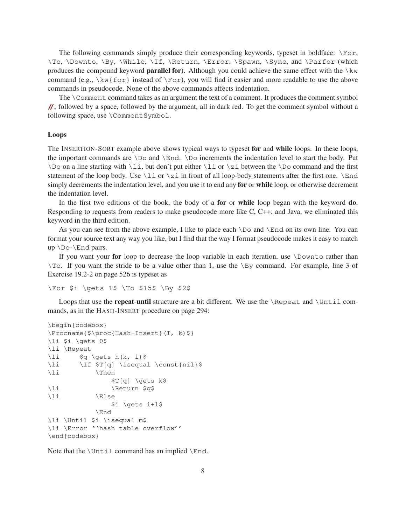The following commands simply produce their corresponding keywords, typeset in boldface: \For, \To, \Downto, \By, \While, \If, \Return, \Error, \Spawn, \Sync, and \Parfor (which produces the compound keyword **parallel for**). Although you could achieve the same effect with the \kw command (e.g.,  $\kappa\{for\}$  instead of  $\For)$ , you will find it easier and more readable to use the above commands in pseudocode. None of the above commands affects indentation.

The \Comment command takes as an argument the text of a comment. It produces the comment symbol **//**, followed by a space, followed by the argument, all in dark red. To get the comment symbol without a following space, use \CommentSymbol.

### **Loops**

The INSERTION-SORT example above shows typical ways to typeset **for** and **while** loops. In these loops, the important commands are \Do and \End. \Do increments the indentation level to start the body. Put  $\D$ o on a line starting with  $\li$ , but don't put either  $\li$  or  $\zi$  between the  $\D$ o command and the first statement of the loop body. Use  $\li$  in or  $\zeta$  in front of all loop-body statements after the first one.  $\End$ simply decrements the indentation level, and you use it to end any **for** or **while** loop, or otherwise decrement the indentation level.

In the first two editions of the book, the body of a **for** or **while** loop began with the keyword **do**. Responding to requests from readers to make pseudocode more like C, C++, and Java, we eliminated this keyword in the third edition.

As you can see from the above example, I like to place each  $\D$  and  $\E$ nd on its own line. You can format your source text any way you like, but I find that the way I format pseudocode makes it easy to match up \Do-\End pairs.

If you want your **for** loop to decrease the loop variable in each iteration, use \Downto rather than \To. If you want the stride to be a value other than 1, use the \By command. For example, line 3 of Exercise 19.2-2 on page 526 is typeset as

\For \$i \gets 1\$ \To \$15\$ \By \$2\$

Loops that use the **repeat-until** structure are a bit different. We use the **\Repeat and \Until com**mands, as in the HASH-INSERT procedure on page 294:

```
\begin{codebox}
\Procname{$\proc{Hash-Insert}(T, k)$}
\li $i \gets 0$
\li \Repeat
\li $q \gets h(k, i)$
\li \If $T[q] \isequal \const{nil}$
\li \Then
              $T[q] \gets k$
\li \Return $q$
\li \Else
              $i \gets i+1$
          \End
\li \Until $i \isequal m$
\li \Error ''hash table overflow''
\end{codebox}
```
Note that the  $\Upsilon$  is command has an implied  $\End$ .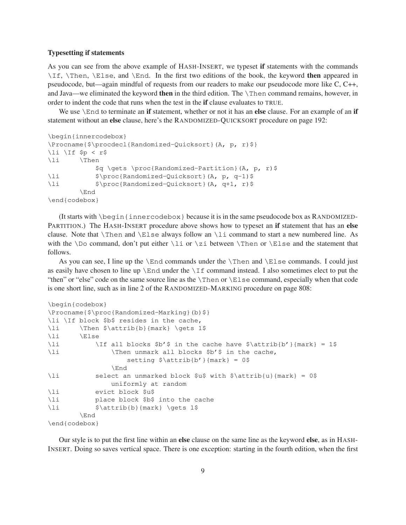#### **Typesetting if statements**

As you can see from the above example of HASH-INSERT, we typeset **if** statements with the commands \If, \Then, \Else, and \End. In the first two editions of the book, the keyword **then** appeared in pseudocode, but—again mindful of requests from our readers to make our pseudocode more like C, C++, and Java—we eliminated the keyword **then** in the third edition. The \Then command remains, however, in order to indent the code that runs when the test in the **if** clause evaluates to TRUE.

We use \End to terminate an **if** statement, whether or not it has an **else** clause. For an example of an **if** statement without an **else** clause, here's the RANDOMIZED-QUICKSORT procedure on page 192:

```
\begin{innercodebox}
\Procname{$\procdecl{Randomized-Quicksort}(A, p, r)$}
\li \If $p < r$
\li \Then
           $q \gets \proc{Randomized-Partition}(A, p, r)$
\li $\proc{Randomized-Quicksort}(A, p, q-1)$
\li $\proc{Randomized-Quicksort}(A, q+1, r)$
       \End
\end{codebox}
```
(It starts with  $\begin{array}{c}$  innercodebox  $\epsilon$  because it is in the same pseudocode box as RANDOMIZED-PARTITION.) The HASH-INSERT procedure above shows how to typeset an **if** statement that has an **else** clause. Note that \Then and \Else always follow an \li command to start a new numbered line. As with the  $\D$  command, don't put either  $\li$  or  $\zi$  between  $\Then$  or  $\E$  is eand the statement that follows.

As you can see, I line up the  $\End$  commands under the  $\Theta$  and  $\E$  is exponents. I could just as easily have chosen to line up  $\End$  under the  $\If$  command instead. I also sometimes elect to put the "then" or "else" code on the same source line as the \Then or \Else command, especially when that code is one short line, such as in line 2 of the RANDOMIZED-MARKING procedure on page 808:

```
\begin{codebox}
\Procname{$\proc{Randomized-Marking}(b)$}
\li \If block $b$ resides in the cache,
\li \Then $\attrib{b}{mark} \gets 1$
\li \Else
\li \lfloor \frac{b'}{15} \rfloor \If all blocks $b'$ in the cache have $\attrib{b'}{mark} = 1$
\li \Then unmark all blocks $b'$ in the cache,
                   setting \delta_{b'} {mark} = 0$
               \End
\li select an unmarked block $u$ with $\attrib{u}{mark} = 0$
               uniformly at random
\li evict block $u$
\li place block $b$ into the cache
\li $\attribute{b}{\text{qets 1}}\End
\end{codebox}
```
Our style is to put the first line within an **else** clause on the same line as the keyword **else**, as in HASH-INSERT. Doing so saves vertical space. There is one exception: starting in the fourth edition, when the first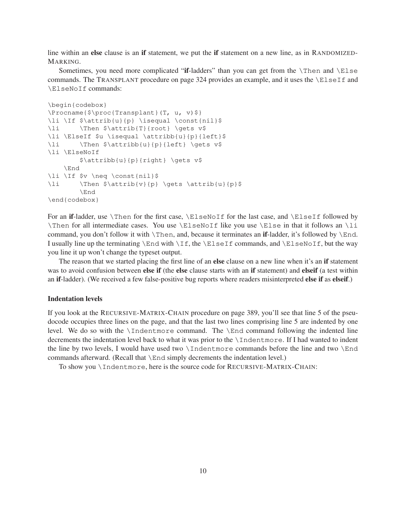line within an **else** clause is an **if** statement, we put the **if** statement on a new line, as in RANDOMIZED-MARKING.

Sometimes, you need more complicated "**if**-ladders" than you can get from the \Then and \Else commands. The TRANSPLANT procedure on page 324 provides an example, and it uses the \ElseIf and \ElseNoIf commands:

```
\begin{codebox}
\Procname{$\proc{Transplant}(T, u, v)$}
\li \If $\attrib{u}{p} \isequal \const{nil}$
\li \Then $\attrib{T}{root} \gets v$
\li \ElseIf $u \isequal \attribb{u}{p}{left}$
\li \mathfrak{u}_{p}{left} \qquad v$\li \ElseNoIf
       \{\alpha\}(p\{right\} \qquad v\\End
\li \If $v \neq \const{nil}$
\li \Then $\attrib{v}{p} \gets \attrib{u}{p}$
       \End
\end{codebox}
```
For an **if**-ladder, use \Then for the first case, \ElseNoIf for the last case, and \ElseIf followed by \Then for all intermediate cases. You use \ElseNoIf like you use \Else in that it follows an \li command, you don't follow it with \Then, and, because it terminates an **if**-ladder, it's followed by \End. I usually line up the terminating  $\End$  with  $\If$ , the  $\Elsef$  commands, and  $\Elsen$ If, but the way you line it up won't change the typeset output.

The reason that we started placing the first line of an **else** clause on a new line when it's an **if** statement was to avoid confusion between **else if** (the **else** clause starts with an **if** statement) and **elseif** (a test within an **if**-ladder). (We received a few false-positive bug reports where readers misinterpreted **else if** as **elseif**.)

### **Indentation levels**

If you look at the RECURSIVE-MATRIX-CHAIN procedure on page 389, you'll see that line 5 of the pseudocode occupies three lines on the page, and that the last two lines comprising line 5 are indented by one level. We do so with the \Indentmore command. The \End command following the indented line decrements the indentation level back to what it was prior to the \Indentmore. If I had wanted to indent the line by two levels, I would have used two \Indentmore commands before the line and two \End commands afterward. (Recall that \End simply decrements the indentation level.)

To show you \Indentmore, here is the source code for RECURSIVE-MATRIX-CHAIN: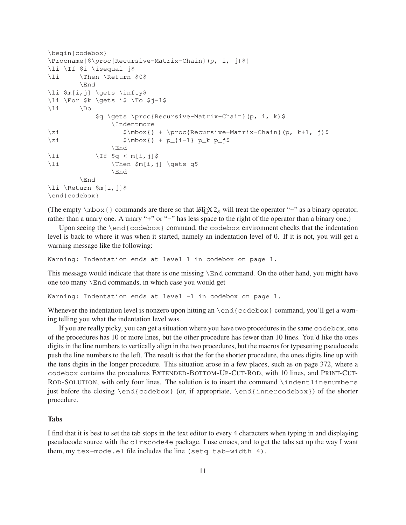```
\begin{codebox}
\Procname{$\proc{Recursive-Matrix-Chain}(p, i, j)$}
\li \If $i \isequal j$
\li \Then \Return $0$
       \End
\li $m[i,j] \gets \infty$
\li \For $k \gets i$ \To $j-1$
\li \Do
           $q \gets \proc{Recursive-Matrix-Chain}(p, i, k)$
               \Indentmore
\zi \{\hbar v(f) + \proce{Recursively-Matrix-Chain}(p, k+1, j)\zi $\mbox{} + p_{i-1} p_k p_j$
               \End
\li \lfloor \frac{\pi}{3q} \rfloor \if \frac{\pi}{1, j}\li \Then $m[i,j] \gets q$
               \End
        \End
\li \Return $m[i,j]$
\end{codebox}
```
(The empty  $\mbox{nbox}$  ) commands are there so that LATEX  $2_{\varepsilon}$  will treat the operator "+" as a binary operator, rather than a unary one. A unary "+" or "-" has less space to the right of the operator than a binary one.)

Upon seeing the  $\end{math}$  codebox command, the codebox environment checks that the indentation level is back to where it was when it started, namely an indentation level of 0. If it is not, you will get a warning message like the following:

Warning: Indentation ends at level 1 in codebox on page 1.

This message would indicate that there is one missing \End command. On the other hand, you might have one too many \End commands, in which case you would get

Warning: Indentation ends at level -1 in codebox on page 1.

Whenever the indentation level is nonzero upon hitting an  $\end{math}$   $\{codebox}$  command, you'll get a warning telling you what the indentation level was.

If you are really picky, you can get a situation where you have two procedures in the same codebox, one of the procedures has 10 or more lines, but the other procedure has fewer than 10 lines. You'd like the ones digits in the line numbers to vertically align in the two procedures, but the macros for typesetting pseudocode push the line numbers to the left. The result is that the for the shorter procedure, the ones digits line up with the tens digits in the longer procedure. This situation arose in a few places, such as on page 372, where a codebox contains the procedures EXTENDED-BOTTOM-UP-CUT-ROD, with 10 lines, and PRINT-CUT-ROD-SOLUTION, with only four lines. The solution is to insert the command \indentlinenumbers just before the closing  $\end{cosh}$  (codebox) (or, if appropriate,  $\end{linecodebox}$ ) of the shorter procedure.

### **Tabs**

I find that it is best to set the tab stops in the text editor to every 4 characters when typing in and displaying pseudocode source with the clrscode4e package. I use emacs, and to get the tabs set up the way I want them, my tex-mode.el file includes the line (setq tab-width 4).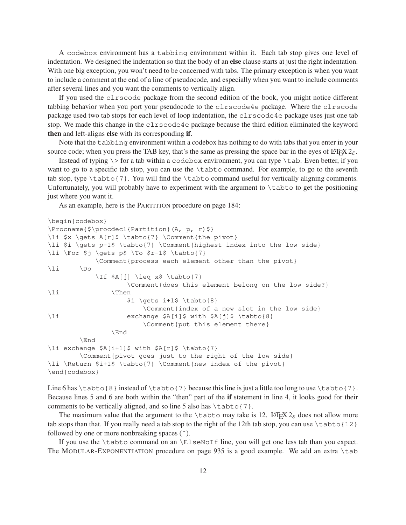A codebox environment has a tabbing environment within it. Each tab stop gives one level of indentation. We designed the indentation so that the body of an **else** clause starts at just the right indentation. With one big exception, you won't need to be concerned with tabs. The primary exception is when you want to include a comment at the end of a line of pseudocode, and especially when you want to include comments after several lines and you want the comments to vertically align.

If you used the clrscode package from the second edition of the book, you might notice different tabbing behavior when you port your pseudocode to the clrscode4e package. Where the clrscode package used two tab stops for each level of loop indentation, the clrscode4e package uses just one tab stop. We made this change in the clrscode4e package because the third edition eliminated the keyword **then** and left-aligns **else** with its corresponding **if**.

Note that the tabbing environment within a codebox has nothing to do with tabs that you enter in your source code; when you press the TAB key, that's the same as pressing the space bar in the eyes of LATEX  $2\varepsilon$ .

Instead of typing  $\>$  for a tab within a codebox environment, you can type  $\cdot$  tab. Even better, if you want to go to a specific tab stop, you can use the \tabto command. For example, to go to the seventh tab stop, type  $\text{tabto}\{7\}$ . You will find the  $\text{bto}$  command useful for vertically aligning comments. Unfortunately, you will probably have to experiment with the argument to \tabto to get the positioning just where you want it.

As an example, here is the PARTITION procedure on page 184:

```
\begin{codebox}
\Procname{$\procdecl{Partition}(A, p, r)$}
\li $x \gets A[r]$ \tabto{7} \Comment{the pivot}
\li $i \gets p-1$ \tabto{7} \Comment{highest index into the low side}
\li \For $j \gets p$ \To $r-1$ \tabto{7}
           \Comment{process each element other than the pivot}
\li \Do
           \If $A[j] \leq x$ \tabto{7}
                   \Comment{does this element belong on the low side?}
\li \Then
                   $i \gets i+1$ \tabto{8}
                       \Comment{index of a new slot in the low side}
\li exchange $A[i]$ with $A[j]$ \tabto{8}
                       \Comment{put this element there}
               \End
       \End
\li exchange $A[i+1]$ with $A[r]$ \tabto{7}
       \Comment{pivot goes just to the right of the low side}
\li \Return $i+1$ \tabto{7} \Comment{new index of the pivot}
\end{codebox}
```
Line 6 has  $\cdot$ tabto{8} instead of  $\cdot$ tabto{7} because this line is just a little too long to use  $\cdot$ tabto{7}. Because lines 5 and 6 are both within the "then" part of the **if** statement in line 4, it looks good for their comments to be vertically aligned, and so line 5 also has  $\cdot$ tabto{7}.

The maximum value that the argument to the \tabto may take is 12. LATEX  $2_{\varepsilon}$  does not allow more tab stops than that. If you really need a tab stop to the right of the 12th tab stop, you can use  $\cdot$  tabto{12} followed by one or more nonbreaking spaces (˜).

If you use the \tabto command on an \ElseNoIf line, you will get one less tab than you expect. The MODULAR-EXPONENTIATION procedure on page 935 is a good example. We add an extra \tab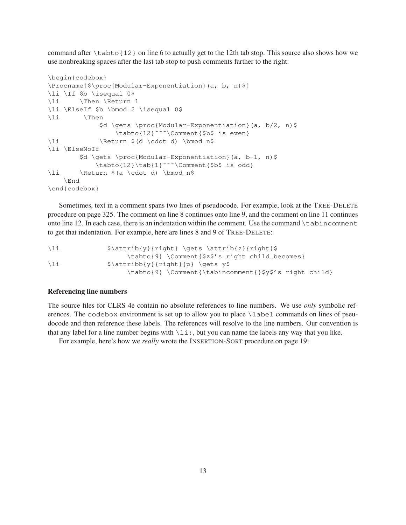command after  $\text{tabto}\{12\}$  on line 6 to actually get to the 12th tab stop. This source also shows how we use nonbreaking spaces after the last tab stop to push comments farther to the right:

```
\begin{codebox}
\Procname{$\proc{Modular-Exponentiation}(a, b, n)$}
\li \If $b \isequal 0$
\li \Then \Return 1
\li \ElseIf $b \bmod 2 \isequal 0$
\li \Then
             $d \gets \proc{Modular-Exponentiation}(a, b/2, n)$
                 \tabto{12}<sup>~~~</sup>\Comment{$b$ is even}
\li \Return $(d \cdot d) \bmod n$
\li \ElseNoIf
        $d \gets \proc{Modular-Exponentiation}(a, b-1, n)$
           \tabto{12}\tab{1}~~~\Comment{$b$ is odd}
\li \Return $(a \cdot d) \bmod n$
    \End
\end{codebox}
```
Sometimes, text in a comment spans two lines of pseudocode. For example, look at the TREE-DELETE procedure on page 325. The comment on line 8 continues onto line 9, and the comment on line 11 continues onto line 12. In each case, there is an indentation within the comment. Use the command  $\theta$  tabincomment to get that indentation. For example, here are lines 8 and 9 of TREE-DELETE:

| \li | $\{\text{y}\} \right\} \text{ at } \{\text{z}\} \right\}$ |
|-----|-----------------------------------------------------------|
|     | \tabto{9} \Comment{\$z\$'s right child becomes}           |
| \li | $\{\text{t}, \text{t}, \text{t}\}$                        |
|     | \tabto{9} \Comment{\tabincomment{}\$y\$'s right child}    |

#### **Referencing line numbers**

The source files for CLRS 4e contain no absolute references to line numbers. We use *only* symbolic references. The codebox environment is set up to allow you to place \label commands on lines of pseudocode and then reference these labels. The references will resolve to the line numbers. Our convention is that any label for a line number begins with  $\lambda$ i:, but you can name the labels any way that you like.

For example, here's how we *really* wrote the INSERTION-SORT procedure on page 19: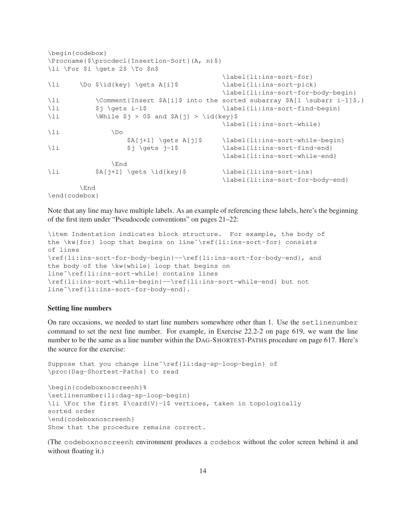```
\begin{codebox}
\Procname{$\procdecl{Insertion-Sort}(A, n)$}
\li \For $i \gets 2$ \To $n$
                                               \label{li:ins-sort-for}
\li \Do $\id{key} \gets A[i]$ \label{li:ins-sort-pick}
                                               \label{li:ins-sort-for-body-begin}
\li \Comment{Insert $A[i]$ into the sorted subarray $A[1 \subarr i-1]$.}
\li \iint \iint \iint \iint \iint \iint \iint \iint \iint \iint \iint \iint \iint \iint \iint \iint \iint \iint \iint \iint \iint \iint \iint \iint \iint \iint \iint \iint \iint \iint \iint \iint \iint \iint \iint \iint \\li \While $j > 0$ and $A[j] > \id{key}$\label{li:ins-sort-while}
\lambdali \lambdaDo
                     $A[j+1] \gets A[j]$ \label{li:ins-sort-while-begin}
\li \{1i : ins-sort-find-end\}\label{li:ins-sort-while-end}
                 \End
\li $A[j+1] \qquad \tilde{key}$ \qquad \ldots\\label{li:ins-sort-for-body-end}
        \End
\end{codebox}
```
Note that any line may have multiple labels. As an example of referencing these labels, here's the beginning of the first item under "Pseudocode conventions" on pages 21–22:

```
\item Indentation indicates block structure. For example, the body of
the \kw{for} loop that begins on line˜\ref{li:ins-sort-for} consists
of lines
\ref{li:ins-sort-for-body-begin}--\ref{li:ins-sort-for-body-end}, and
the body of the \kw{while} loop that begins on
line˜\ref{li:ins-sort-while} contains lines
\ref{li:ins-sort-while-begin}--\ref{li:ins-sort-while-end} but not
line˜\ref{li:ins-sort-for-body-end}.
```
#### **Setting line numbers**

On rare occasions, we needed to start line numbers somewhere other than 1. Use the setlinenumber command to set the next line number. For example, in Exercise 22.2-2 on page 619, we want the line number to be the same as a line number within the DAG-SHORTEST-PATHS procedure on page 617. Here's the source for the exercise:

```
Suppose that you change line˜\ref{li:dag-sp-loop-begin} of
\proc{Dag-Shortest-Paths} to read
```

```
\begin{codeboxnoscreenh}%
\setlinenumber{li:dag-sp-loop-begin}
\li \For the first $\card{V}-1$ vertices, taken in topologically
sorted order
\end{codeboxnoscreenh}
Show that the procedure remains correct.
```
(The codeboxnoscreenh environment produces a codebox without the color screen behind it and without floating it.)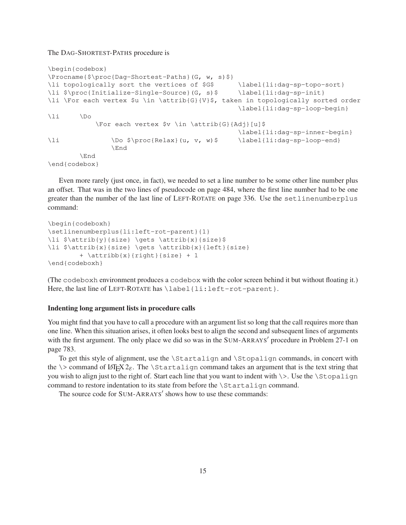The DAG-SHORTEST-PATHS procedure is

```
\begin{codebox}
\Procname{$\proc{Dag-Shortest-Paths}(G, w, s)$}
\li topologically sort the vertices of $G$ \label{li:dag-sp-topo-sort}
\li $\proc{Initialize-Single-Source}(G, s)$ \label{li:dag-sp-init}
\li \For each vertex $u \in \attrib{G}{V}$, taken in topologically sorted order
                                              \label{li:dag-sp-loop-begin}
\li \Do
           \For each vertex $v \in \attrib{G}{Adj}[u]$
                                              \label{li:dag-sp-inner-begin}
\li \Do $\proc{Relax}(u, v, w)$ \label{li:dag-sp-loop-end}
               \End
       \End
\end{codebox}
```
Even more rarely (just once, in fact), we needed to set a line number to be some other line number plus an offset. That was in the two lines of pseudocode on page 484, where the first line number had to be one greater than the number of the last line of LEFT-ROTATE on page 336. Use the setlinenumberplus command:

```
\begin{codeboxh}
\setlinenumberplus{li:left-rot-parent}{1}
\li $\attrib{y}{size} \gets \attrib{x}{size}$
\li $\attrib{x}{size} \gets \attribb{x}{left}{size}
        + \attribb{x}{right}{size} + 1
\end{codeboxh}
```
(The codeboxh environment produces a codebox with the color screen behind it but without floating it.) Here, the last line of LEFT-ROTATE has \label{li:left-rot-parent}.

### **Indenting long argument lists in procedure calls**

You might find that you have to call a procedure with an argument list so long that the call requires more than one line. When this situation arises, it often looks best to align the second and subsequent lines of arguments with the first argument. The only place we did so was in the SUM-ARRAYS' procedure in Problem 27-1 on page 783.

To get this style of alignment, use the \Startalign and \Stopalign commands, in concert with the  $\>$  command of LAT<sub>EX</sub> 2<sub> $\epsilon$ </sub>. The  $\text{standard}_p$  command takes an argument that is the text string that you wish to align just to the right of. Start each line that you want to indent with  $\>$ . Use the  $\>$  stopalign command to restore indentation to its state from before the \Startalign command.

The source code for SUM-ARRAYS' shows how to use these commands: